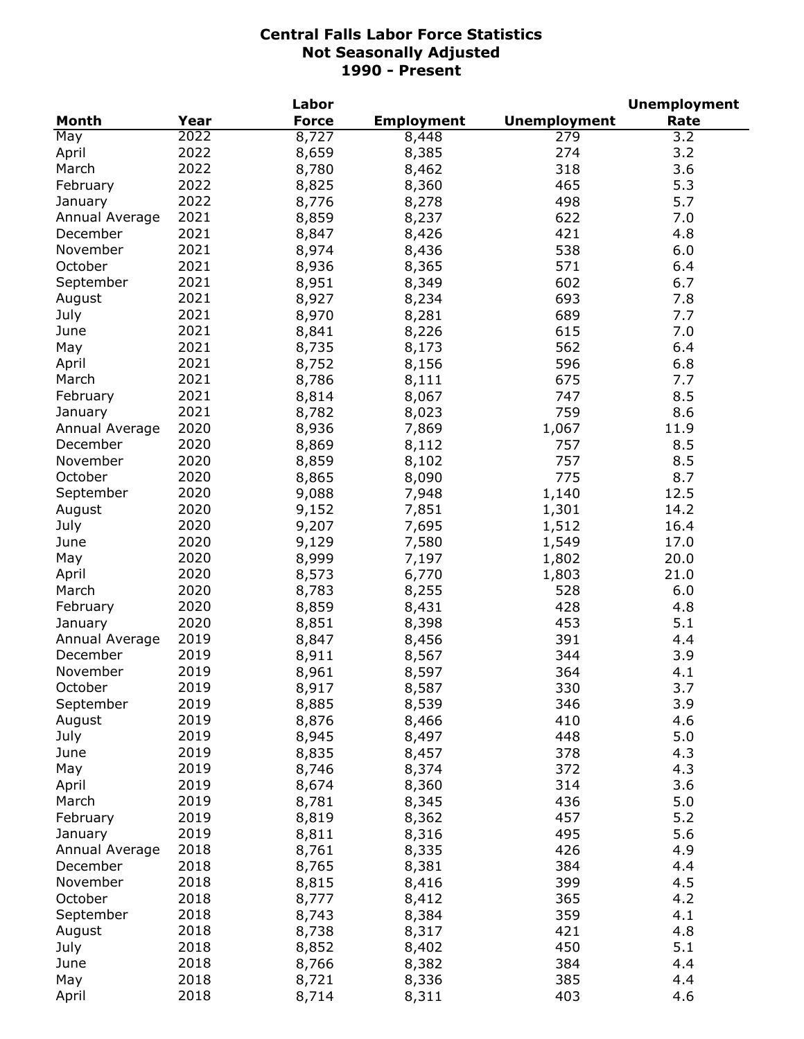|                |      | Labor        |                   |                     | <b>Unemployment</b> |
|----------------|------|--------------|-------------------|---------------------|---------------------|
| <b>Month</b>   | Year | <b>Force</b> | <b>Employment</b> | <b>Unemployment</b> | Rate                |
| May            | 2022 | 8,727        | 8,448             | 279                 | 3.2                 |
| April          | 2022 | 8,659        | 8,385             | 274                 | 3.2                 |
| March          | 2022 | 8,780        | 8,462             | 318                 | 3.6                 |
| February       | 2022 | 8,825        | 8,360             | 465                 | 5.3                 |
| January        | 2022 | 8,776        | 8,278             | 498                 | 5.7                 |
| Annual Average | 2021 | 8,859        | 8,237             | 622                 | 7.0                 |
| December       | 2021 | 8,847        | 8,426             | 421                 | 4.8                 |
| November       | 2021 | 8,974        | 8,436             | 538                 | 6.0                 |
| October        | 2021 | 8,936        | 8,365             | 571                 | 6.4                 |
| September      | 2021 | 8,951        | 8,349             | 602                 | 6.7                 |
| August         | 2021 | 8,927        | 8,234             | 693                 | 7.8                 |
| July           | 2021 | 8,970        | 8,281             | 689                 | 7.7                 |
| June           | 2021 | 8,841        | 8,226             | 615                 | 7.0                 |
| May            | 2021 | 8,735        | 8,173             | 562                 | 6.4                 |
| April          | 2021 | 8,752        | 8,156             | 596                 | 6.8                 |
| March          | 2021 | 8,786        | 8,111             | 675                 | 7.7                 |
| February       | 2021 | 8,814        | 8,067             | 747                 | 8.5                 |
| January        | 2021 | 8,782        | 8,023             | 759                 | 8.6                 |
| Annual Average | 2020 |              |                   |                     |                     |
|                | 2020 | 8,936        | 7,869             | 1,067               | 11.9                |
| December       |      | 8,869        | 8,112             | 757                 | 8.5                 |
| November       | 2020 | 8,859        | 8,102             | 757                 | 8.5                 |
| October        | 2020 | 8,865        | 8,090             | 775                 | 8.7                 |
| September      | 2020 | 9,088        | 7,948             | 1,140               | 12.5                |
| August         | 2020 | 9,152        | 7,851             | 1,301               | 14.2                |
| July           | 2020 | 9,207        | 7,695             | 1,512               | 16.4                |
| June           | 2020 | 9,129        | 7,580             | 1,549               | 17.0                |
| May            | 2020 | 8,999        | 7,197             | 1,802               | 20.0                |
| April          | 2020 | 8,573        | 6,770             | 1,803               | 21.0                |
| March          | 2020 | 8,783        | 8,255             | 528                 | 6.0                 |
| February       | 2020 | 8,859        | 8,431             | 428                 | 4.8                 |
| January        | 2020 | 8,851        | 8,398             | 453                 | 5.1                 |
| Annual Average | 2019 | 8,847        | 8,456             | 391                 | 4.4                 |
| December       | 2019 | 8,911        | 8,567             | 344                 | 3.9                 |
| November       | 2019 | 8,961        | 8,597             | 364                 | 4.1                 |
| October        | 2019 | 8,917        | 8,587             | 330                 | 3.7                 |
| September      | 2019 | 8,885        | 8,539             | 346                 | 3.9                 |
| August         | 2019 | 8,876        | 8,466             | 410                 | 4.6                 |
| July           | 2019 | 8,945        | 8,497             | 448                 | 5.0                 |
| June           | 2019 | 8,835        | 8,457             | 378                 | 4.3                 |
| May            | 2019 | 8,746        | 8,374             | 372                 | 4.3                 |
| April          | 2019 | 8,674        | 8,360             | 314                 | 3.6                 |
| March          | 2019 | 8,781        | 8,345             | 436                 | 5.0                 |
| February       | 2019 | 8,819        | 8,362             | 457                 | 5.2                 |
| January        | 2019 | 8,811        | 8,316             | 495                 | 5.6                 |
| Annual Average | 2018 | 8,761        | 8,335             | 426                 | 4.9                 |
| December       | 2018 | 8,765        | 8,381             | 384                 | 4.4                 |
| November       | 2018 | 8,815        | 8,416             | 399                 | 4.5                 |
| October        | 2018 | 8,777        | 8,412             | 365                 | 4.2                 |
| September      | 2018 | 8,743        | 8,384             | 359                 | 4.1                 |
| August         | 2018 | 8,738        | 8,317             | 421                 | 4.8                 |
| July           | 2018 | 8,852        | 8,402             | 450                 | 5.1                 |
| June           | 2018 | 8,766        | 8,382             | 384                 | 4.4                 |
| May            | 2018 | 8,721        | 8,336             | 385                 | 4.4                 |
| April          | 2018 | 8,714        | 8,311             | 403                 | 4.6                 |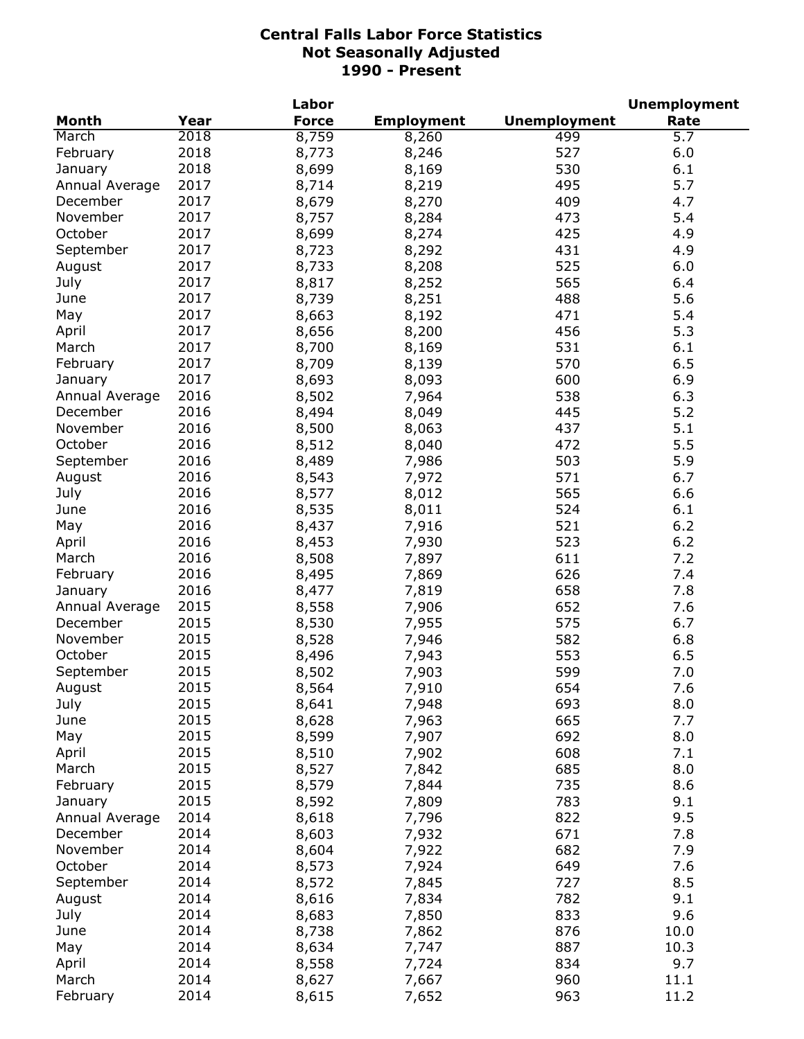|                |      | Labor        |                   |                     | <b>Unemployment</b> |
|----------------|------|--------------|-------------------|---------------------|---------------------|
| <b>Month</b>   | Year | <b>Force</b> | <b>Employment</b> | <b>Unemployment</b> | Rate                |
| March          | 2018 | 8,759        | 8,260             | 499                 | 5.7                 |
| February       | 2018 | 8,773        | 8,246             | 527                 | 6.0                 |
| January        | 2018 | 8,699        | 8,169             | 530                 | 6.1                 |
| Annual Average | 2017 | 8,714        | 8,219             | 495                 | 5.7                 |
| December       | 2017 | 8,679        | 8,270             | 409                 | 4.7                 |
| November       | 2017 | 8,757        | 8,284             | 473                 | 5.4                 |
| October        | 2017 | 8,699        | 8,274             | 425                 | 4.9                 |
| September      | 2017 | 8,723        | 8,292             | 431                 | 4.9                 |
| August         | 2017 | 8,733        | 8,208             | 525                 | 6.0                 |
| July           | 2017 | 8,817        | 8,252             | 565                 | 6.4                 |
| June           | 2017 | 8,739        | 8,251             | 488                 | 5.6                 |
| May            | 2017 | 8,663        | 8,192             | 471                 | 5.4                 |
| April          | 2017 | 8,656        | 8,200             | 456                 | 5.3                 |
| March          | 2017 | 8,700        |                   | 531                 | 6.1                 |
|                | 2017 |              | 8,169             | 570                 | 6.5                 |
| February       |      | 8,709        | 8,139             |                     |                     |
| January        | 2017 | 8,693        | 8,093             | 600                 | 6.9                 |
| Annual Average | 2016 | 8,502        | 7,964             | 538                 | 6.3                 |
| December       | 2016 | 8,494        | 8,049             | 445                 | 5.2                 |
| November       | 2016 | 8,500        | 8,063             | 437                 | 5.1                 |
| October        | 2016 | 8,512        | 8,040             | 472                 | 5.5                 |
| September      | 2016 | 8,489        | 7,986             | 503                 | 5.9                 |
| August         | 2016 | 8,543        | 7,972             | 571                 | 6.7                 |
| July           | 2016 | 8,577        | 8,012             | 565                 | 6.6                 |
| June           | 2016 | 8,535        | 8,011             | 524                 | 6.1                 |
| May            | 2016 | 8,437        | 7,916             | 521                 | 6.2                 |
| April          | 2016 | 8,453        | 7,930             | 523                 | 6.2                 |
| March          | 2016 | 8,508        | 7,897             | 611                 | 7.2                 |
| February       | 2016 | 8,495        | 7,869             | 626                 | 7.4                 |
| January        | 2016 | 8,477        | 7,819             | 658                 | 7.8                 |
| Annual Average | 2015 | 8,558        | 7,906             | 652                 | 7.6                 |
| December       | 2015 | 8,530        | 7,955             | 575                 | 6.7                 |
| November       | 2015 | 8,528        | 7,946             | 582                 | 6.8                 |
| October        | 2015 | 8,496        | 7,943             | 553                 | 6.5                 |
| September      | 2015 | 8,502        | 7,903             | 599                 | 7.0                 |
| August         | 2015 | 8,564        | 7,910             | 654                 | 7.6                 |
| July           | 2015 | 8,641        | 7,948             | 693                 | 8.0                 |
| June           | 2015 | 8,628        | 7,963             | 665                 | 7.7                 |
| May            | 2015 | 8,599        | 7,907             | 692                 | 8.0                 |
| April          | 2015 | 8,510        | 7,902             | 608                 | 7.1                 |
| March          | 2015 | 8,527        | 7,842             | 685                 | 8.0                 |
| February       | 2015 | 8,579        | 7,844             | 735                 | 8.6                 |
| January        | 2015 | 8,592        | 7,809             | 783                 | 9.1                 |
| Annual Average | 2014 | 8,618        | 7,796             | 822                 | 9.5                 |
| December       | 2014 | 8,603        | 7,932             | 671                 | 7.8                 |
| November       | 2014 | 8,604        | 7,922             | 682                 | 7.9                 |
| October        | 2014 |              |                   | 649                 |                     |
|                |      | 8,573        | 7,924             |                     | 7.6                 |
| September      | 2014 | 8,572        | 7,845             | 727                 | 8.5                 |
| August         | 2014 | 8,616        | 7,834             | 782                 | 9.1                 |
| July           | 2014 | 8,683        | 7,850             | 833                 | 9.6                 |
| June           | 2014 | 8,738        | 7,862             | 876                 | 10.0                |
| May            | 2014 | 8,634        | 7,747             | 887                 | 10.3                |
| April          | 2014 | 8,558        | 7,724             | 834                 | 9.7                 |
| March          | 2014 | 8,627        | 7,667             | 960                 | 11.1                |
| February       | 2014 | 8,615        | 7,652             | 963                 | 11.2                |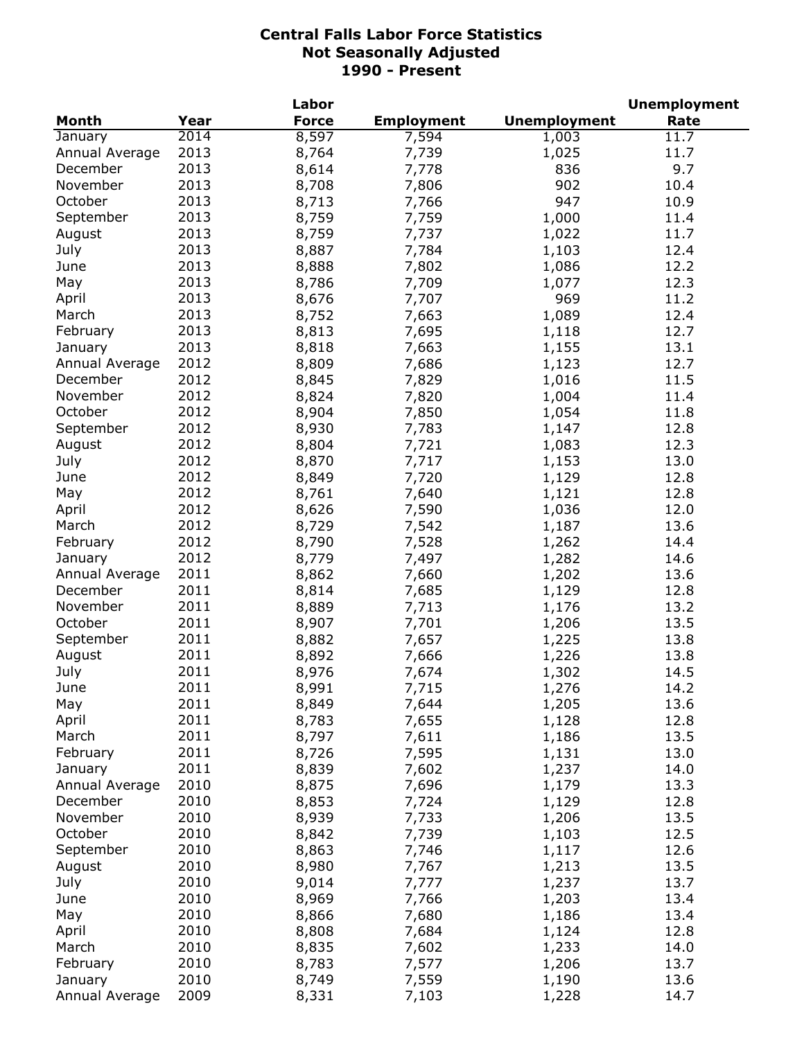|                |      | Labor        |                   |                     | <b>Unemployment</b> |
|----------------|------|--------------|-------------------|---------------------|---------------------|
| <b>Month</b>   | Year | <b>Force</b> | <b>Employment</b> | <b>Unemployment</b> | Rate                |
| January        | 2014 | 8,597        | 7,594             | 1,003               | 11.7                |
| Annual Average | 2013 | 8,764        | 7,739             | 1,025               | 11.7                |
| December       | 2013 | 8,614        | 7,778             | 836                 | 9.7                 |
| November       | 2013 | 8,708        | 7,806             | 902                 | 10.4                |
| October        | 2013 | 8,713        | 7,766             | 947                 | 10.9                |
| September      | 2013 | 8,759        | 7,759             | 1,000               | 11.4                |
| August         | 2013 | 8,759        | 7,737             | 1,022               | 11.7                |
| July           | 2013 | 8,887        | 7,784             | 1,103               | 12.4                |
| June           | 2013 | 8,888        | 7,802             | 1,086               | 12.2                |
| May            | 2013 | 8,786        | 7,709             | 1,077               | 12.3                |
| April          | 2013 | 8,676        | 7,707             | 969                 | 11.2                |
| March          | 2013 |              |                   |                     | 12.4                |
|                |      | 8,752        | 7,663             | 1,089               |                     |
| February       | 2013 | 8,813        | 7,695             | 1,118               | 12.7                |
| January        | 2013 | 8,818        | 7,663             | 1,155               | 13.1                |
| Annual Average | 2012 | 8,809        | 7,686             | 1,123               | 12.7                |
| December       | 2012 | 8,845        | 7,829             | 1,016               | 11.5                |
| November       | 2012 | 8,824        | 7,820             | 1,004               | 11.4                |
| October        | 2012 | 8,904        | 7,850             | 1,054               | 11.8                |
| September      | 2012 | 8,930        | 7,783             | 1,147               | 12.8                |
| August         | 2012 | 8,804        | 7,721             | 1,083               | 12.3                |
| July           | 2012 | 8,870        | 7,717             | 1,153               | 13.0                |
| June           | 2012 | 8,849        | 7,720             | 1,129               | 12.8                |
| May            | 2012 | 8,761        | 7,640             | 1,121               | 12.8                |
| April          | 2012 | 8,626        | 7,590             | 1,036               | 12.0                |
| March          | 2012 | 8,729        | 7,542             | 1,187               | 13.6                |
| February       | 2012 | 8,790        | 7,528             | 1,262               | 14.4                |
| January        | 2012 | 8,779        | 7,497             | 1,282               | 14.6                |
| Annual Average | 2011 | 8,862        | 7,660             | 1,202               | 13.6                |
| December       | 2011 | 8,814        | 7,685             | 1,129               | 12.8                |
| November       | 2011 | 8,889        | 7,713             | 1,176               | 13.2                |
| October        | 2011 | 8,907        | 7,701             | 1,206               | 13.5                |
| September      | 2011 | 8,882        | 7,657             | 1,225               | 13.8                |
| August         | 2011 | 8,892        | 7,666             | 1,226               | 13.8                |
| July           | 2011 | 8,976        | 7,674             | 1,302               | 14.5                |
| June           | 2011 | 8,991        | 7,715             | 1,276               | 14.2                |
| May            | 2011 | 8,849        | 7,644             | 1,205               | 13.6                |
| April          | 2011 | 8,783        | 7,655             | 1,128               | 12.8                |
| March          | 2011 | 8,797        | 7,611             | 1,186               | 13.5                |
| February       | 2011 | 8,726        | 7,595             | 1,131               | 13.0                |
| January        | 2011 | 8,839        | 7,602             | 1,237               | 14.0                |
| Annual Average | 2010 | 8,875        | 7,696             |                     |                     |
| December       |      |              |                   | 1,179               | 13.3                |
|                | 2010 | 8,853        | 7,724             | 1,129               | 12.8                |
| November       | 2010 | 8,939        | 7,733             | 1,206               | 13.5                |
| October        | 2010 | 8,842        | 7,739             | 1,103               | 12.5                |
| September      | 2010 | 8,863        | 7,746             | 1,117               | 12.6                |
| August         | 2010 | 8,980        | 7,767             | 1,213               | 13.5                |
| July           | 2010 | 9,014        | 7,777             | 1,237               | 13.7                |
| June           | 2010 | 8,969        | 7,766             | 1,203               | 13.4                |
| May            | 2010 | 8,866        | 7,680             | 1,186               | 13.4                |
| April          | 2010 | 8,808        | 7,684             | 1,124               | 12.8                |
| March          | 2010 | 8,835        | 7,602             | 1,233               | 14.0                |
| February       | 2010 | 8,783        | 7,577             | 1,206               | 13.7                |
| January        | 2010 | 8,749        | 7,559             | 1,190               | 13.6                |
| Annual Average | 2009 | 8,331        | 7,103             | 1,228               | 14.7                |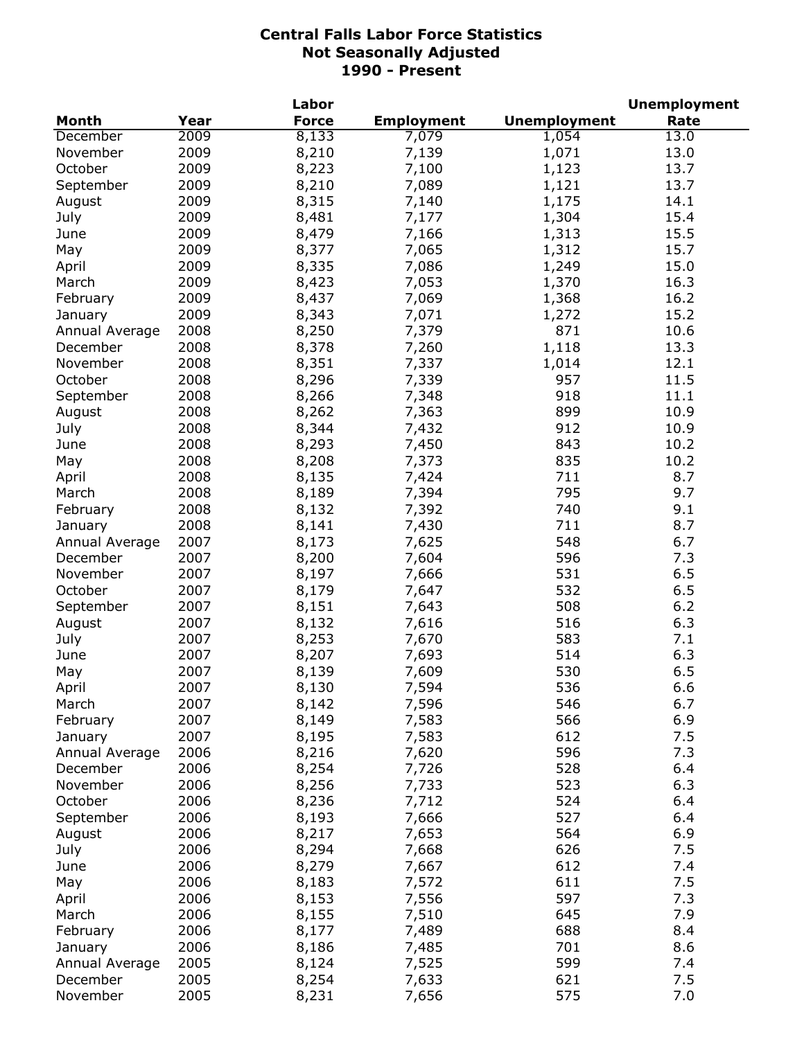|                |      | Labor        |                   |                     | <b>Unemployment</b> |
|----------------|------|--------------|-------------------|---------------------|---------------------|
| <b>Month</b>   | Year | <b>Force</b> | <b>Employment</b> | <b>Unemployment</b> | Rate                |
| December       | 2009 | 8,133        | 7,079             | 1,054               | 13.0                |
| November       | 2009 | 8,210        | 7,139             | 1,071               | 13.0                |
| October        | 2009 | 8,223        | 7,100             | 1,123               | 13.7                |
| September      | 2009 | 8,210        | 7,089             | 1,121               | 13.7                |
| August         | 2009 | 8,315        | 7,140             | 1,175               | 14.1                |
| July           | 2009 | 8,481        | 7,177             | 1,304               | 15.4                |
| June           | 2009 | 8,479        | 7,166             | 1,313               | 15.5                |
| May            | 2009 | 8,377        | 7,065             | 1,312               | 15.7                |
| April          | 2009 | 8,335        | 7,086             | 1,249               | 15.0                |
| March          | 2009 | 8,423        | 7,053             | 1,370               | 16.3                |
| February       | 2009 | 8,437        | 7,069             | 1,368               | 16.2                |
| January        | 2009 | 8,343        | 7,071             | 1,272               | 15.2                |
| Annual Average | 2008 | 8,250        | 7,379             | 871                 | 10.6                |
| December       | 2008 | 8,378        | 7,260             | 1,118               | 13.3                |
| November       | 2008 | 8,351        | 7,337             | 1,014               | 12.1                |
| October        | 2008 | 8,296        | 7,339             | 957                 | 11.5                |
| September      | 2008 | 8,266        | 7,348             | 918                 | 11.1                |
|                | 2008 | 8,262        | 7,363             | 899                 | 10.9                |
| August         | 2008 |              |                   | 912                 |                     |
| July           |      | 8,344        | 7,432             |                     | 10.9<br>10.2        |
| June           | 2008 | 8,293        | 7,450             | 843                 |                     |
| May            | 2008 | 8,208        | 7,373             | 835                 | 10.2                |
| April          | 2008 | 8,135        | 7,424             | 711                 | 8.7                 |
| March          | 2008 | 8,189        | 7,394             | 795                 | 9.7                 |
| February       | 2008 | 8,132        | 7,392             | 740                 | 9.1                 |
| January        | 2008 | 8,141        | 7,430             | 711                 | 8.7                 |
| Annual Average | 2007 | 8,173        | 7,625             | 548                 | 6.7                 |
| December       | 2007 | 8,200        | 7,604             | 596                 | 7.3                 |
| November       | 2007 | 8,197        | 7,666             | 531                 | 6.5                 |
| October        | 2007 | 8,179        | 7,647             | 532                 | 6.5                 |
| September      | 2007 | 8,151        | 7,643             | 508                 | 6.2                 |
| August         | 2007 | 8,132        | 7,616             | 516                 | 6.3                 |
| July           | 2007 | 8,253        | 7,670             | 583                 | 7.1                 |
| June           | 2007 | 8,207        | 7,693             | 514                 | 6.3                 |
| May            | 2007 | 8,139        | 7,609             | 530                 | 6.5                 |
| April          | 2007 | 8,130        | 7,594             | 536                 | 6.6                 |
| March          | 2007 | 8,142        | 7,596             | 546                 | 6.7                 |
| February       | 2007 | 8,149        | 7,583             | 566                 | 6.9                 |
| January        | 2007 | 8,195        | 7,583             | 612                 | 7.5                 |
| Annual Average | 2006 | 8,216        | 7,620             | 596                 | 7.3                 |
| December       | 2006 | 8,254        | 7,726             | 528                 | 6.4                 |
| November       | 2006 | 8,256        | 7,733             | 523                 | 6.3                 |
| October        | 2006 | 8,236        | 7,712             | 524                 | 6.4                 |
| September      | 2006 | 8,193        | 7,666             | 527                 | 6.4                 |
| August         | 2006 | 8,217        | 7,653             | 564                 | 6.9                 |
| July           | 2006 | 8,294        | 7,668             | 626                 | 7.5                 |
| June           | 2006 | 8,279        | 7,667             | 612                 | 7.4                 |
| May            | 2006 | 8,183        | 7,572             | 611                 | 7.5                 |
| April          | 2006 | 8,153        | 7,556             | 597                 | 7.3                 |
| March          | 2006 | 8,155        | 7,510             | 645                 | 7.9                 |
| February       | 2006 | 8,177        | 7,489             | 688                 | 8.4                 |
| January        | 2006 | 8,186        | 7,485             | 701                 | 8.6                 |
| Annual Average | 2005 | 8,124        | 7,525             | 599                 | 7.4                 |
| December       | 2005 | 8,254        | 7,633             | 621                 | 7.5                 |
| November       | 2005 | 8,231        | 7,656             | 575                 | 7.0                 |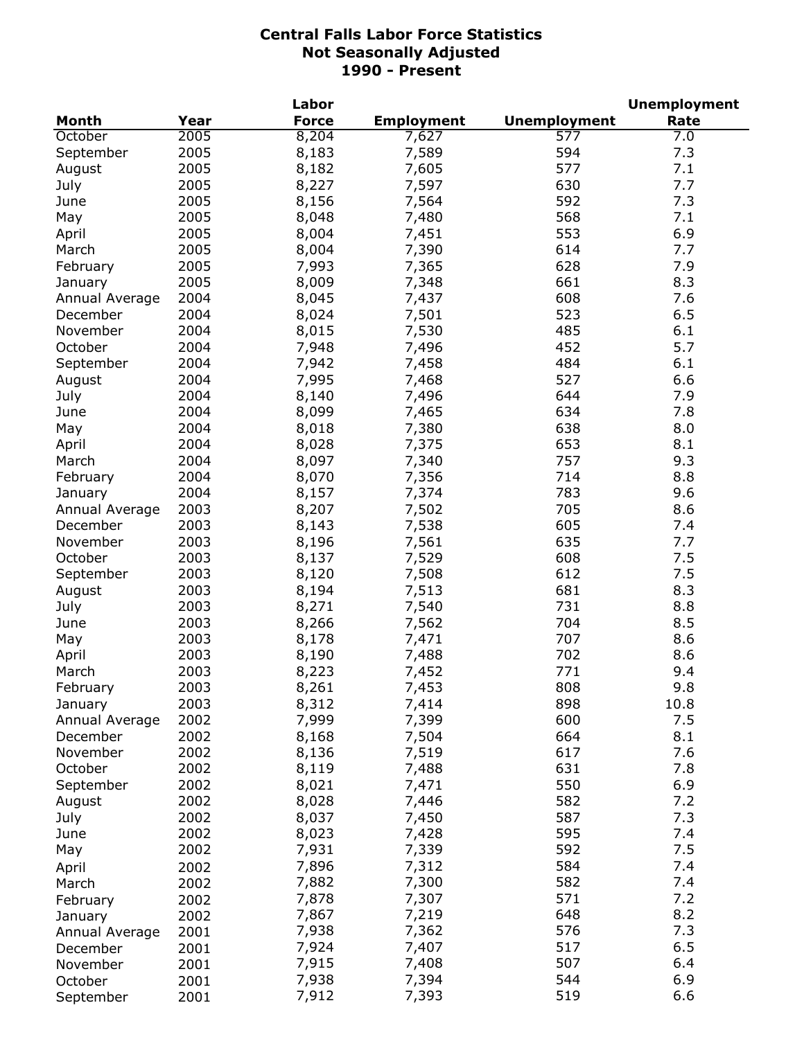|                |      | Labor        |                   |                     | <b>Unemployment</b> |
|----------------|------|--------------|-------------------|---------------------|---------------------|
| <b>Month</b>   | Year | <b>Force</b> | <b>Employment</b> | <b>Unemployment</b> | Rate                |
| October        | 2005 | 8,204        | 7,627             | 577                 | 7.0                 |
| September      | 2005 | 8,183        | 7,589             | 594                 | 7.3                 |
| August         | 2005 | 8,182        | 7,605             | 577                 | 7.1                 |
| July           | 2005 | 8,227        | 7,597             | 630                 | 7.7                 |
| June           | 2005 | 8,156        | 7,564             | 592                 | 7.3                 |
| May            | 2005 | 8,048        | 7,480             | 568                 | 7.1                 |
| April          | 2005 | 8,004        | 7,451             | 553                 | 6.9                 |
| March          | 2005 | 8,004        | 7,390             | 614                 | 7.7                 |
| February       | 2005 | 7,993        | 7,365             | 628                 | 7.9                 |
| January        | 2005 | 8,009        | 7,348             | 661                 | 8.3                 |
| Annual Average | 2004 | 8,045        | 7,437             | 608                 | 7.6                 |
|                | 2004 |              |                   | 523                 | 6.5                 |
| December       |      | 8,024        | 7,501             |                     |                     |
| November       | 2004 | 8,015        | 7,530             | 485                 | 6.1                 |
| October        | 2004 | 7,948        | 7,496             | 452                 | 5.7                 |
| September      | 2004 | 7,942        | 7,458             | 484                 | 6.1                 |
| August         | 2004 | 7,995        | 7,468             | 527                 | 6.6                 |
| July           | 2004 | 8,140        | 7,496             | 644                 | 7.9                 |
| June           | 2004 | 8,099        | 7,465             | 634                 | 7.8                 |
| May            | 2004 | 8,018        | 7,380             | 638                 | 8.0                 |
| April          | 2004 | 8,028        | 7,375             | 653                 | 8.1                 |
| March          | 2004 | 8,097        | 7,340             | 757                 | 9.3                 |
| February       | 2004 | 8,070        | 7,356             | 714                 | 8.8                 |
| January        | 2004 | 8,157        | 7,374             | 783                 | 9.6                 |
| Annual Average | 2003 | 8,207        | 7,502             | 705                 | 8.6                 |
| December       | 2003 | 8,143        | 7,538             | 605                 | 7.4                 |
| November       | 2003 | 8,196        | 7,561             | 635                 | 7.7                 |
| October        | 2003 | 8,137        | 7,529             | 608                 | 7.5                 |
| September      | 2003 | 8,120        | 7,508             | 612                 | 7.5                 |
| August         | 2003 | 8,194        | 7,513             | 681                 | 8.3                 |
| July           | 2003 | 8,271        | 7,540             | 731                 | 8.8                 |
| June           | 2003 | 8,266        | 7,562             | 704                 | 8.5                 |
| May            | 2003 | 8,178        | 7,471             | 707                 | 8.6                 |
| April          | 2003 | 8,190        | 7,488             | 702                 | 8.6                 |
| March          | 2003 | 8,223        | 7,452             | 771                 | 9.4                 |
| February       | 2003 | 8,261        | 7,453             | 808                 | 9.8                 |
| January        | 2003 | 8,312        | 7,414             | 898                 | 10.8                |
| Annual Average | 2002 | 7,999        | 7,399             | 600                 | 7.5                 |
| December       | 2002 | 8,168        | 7,504             | 664                 | 8.1                 |
| November       | 2002 | 8,136        | 7,519             | 617                 | 7.6                 |
| October        | 2002 | 8,119        | 7,488             | 631                 | 7.8                 |
|                | 2002 | 8,021        | 7,471             | 550                 | 6.9                 |
| September      |      |              |                   |                     |                     |
| August         | 2002 | 8,028        | 7,446             | 582                 | 7.2                 |
| July           | 2002 | 8,037        | 7,450             | 587                 | 7.3                 |
| June           | 2002 | 8,023        | 7,428             | 595                 | 7.4                 |
| May            | 2002 | 7,931        | 7,339             | 592                 | 7.5                 |
| April          | 2002 | 7,896        | 7,312             | 584                 | 7.4                 |
| March          | 2002 | 7,882        | 7,300             | 582                 | 7.4                 |
| February       | 2002 | 7,878        | 7,307             | 571                 | 7.2                 |
| January        | 2002 | 7,867        | 7,219             | 648                 | 8.2                 |
| Annual Average | 2001 | 7,938        | 7,362             | 576                 | 7.3                 |
| December       | 2001 | 7,924        | 7,407             | 517                 | 6.5                 |
| November       | 2001 | 7,915        | 7,408             | 507                 | 6.4                 |
| October        | 2001 | 7,938        | 7,394             | 544                 | 6.9                 |
| September      | 2001 | 7,912        | 7,393             | 519                 | 6.6                 |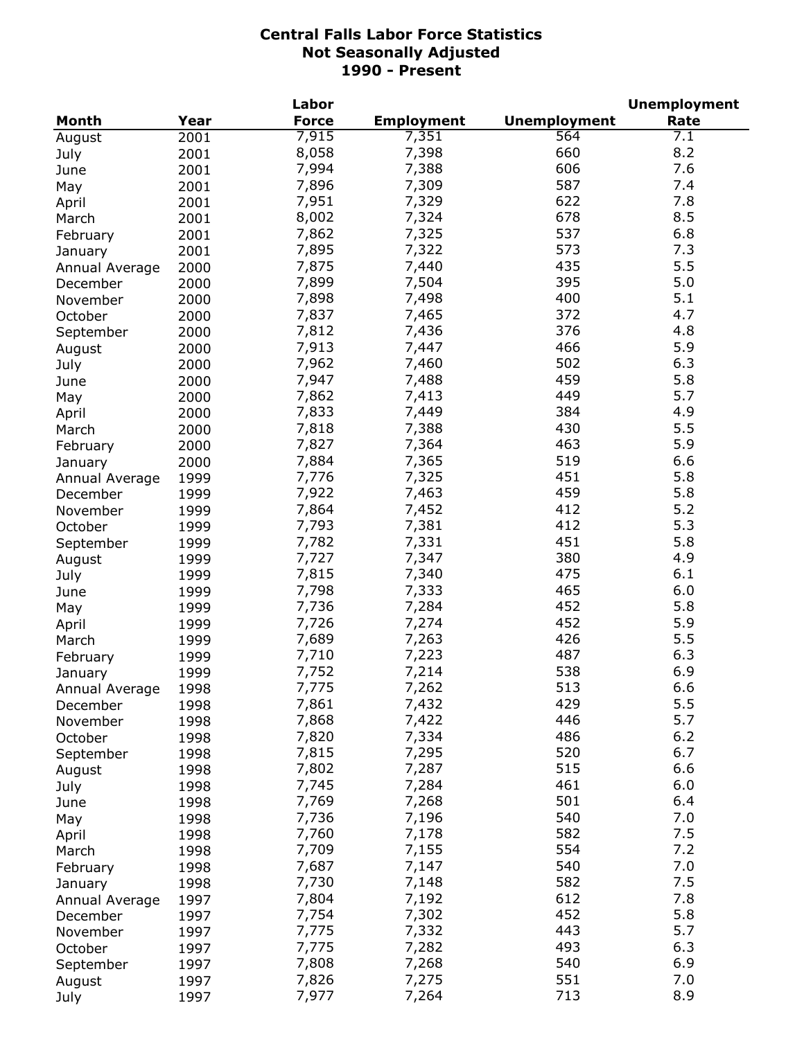|                |      | Labor          |                   |                     | <b>Unemployment</b> |
|----------------|------|----------------|-------------------|---------------------|---------------------|
| <b>Month</b>   | Year | <b>Force</b>   | <b>Employment</b> | <b>Unemployment</b> | Rate                |
| August         | 2001 | 7,915          | 7,351             | 564                 | 7.1                 |
| July           | 2001 | 8,058          | 7,398             | 660                 | 8.2                 |
| June           | 2001 | 7,994          | 7,388             | 606                 | 7.6                 |
| May            | 2001 | 7,896          | 7,309             | 587                 | 7.4                 |
| April          | 2001 | 7,951          | 7,329             | 622                 | 7.8                 |
| March          | 2001 | 8,002          | 7,324             | 678                 | 8.5                 |
| February       | 2001 | 7,862          | 7,325             | 537                 | 6.8                 |
| January        | 2001 | 7,895          | 7,322             | 573                 | 7.3                 |
|                | 2000 | 7,875          | 7,440             | 435                 | 5.5                 |
| Annual Average | 2000 | 7,899          | 7,504             | 395                 | 5.0                 |
| December       |      | 7,898          | 7,498             | 400                 | 5.1                 |
| November       | 2000 | 7,837          | 7,465             | 372                 | 4.7                 |
| October        | 2000 |                |                   |                     |                     |
| September      | 2000 | 7,812          | 7,436             | 376                 | 4.8                 |
| August         | 2000 | 7,913          | 7,447             | 466                 | 5.9                 |
| July           | 2000 | 7,962          | 7,460             | 502                 | 6.3                 |
| June           | 2000 | 7,947          | 7,488             | 459                 | 5.8                 |
| May            | 2000 | 7,862          | 7,413             | 449                 | 5.7                 |
| April          | 2000 | 7,833          | 7,449             | 384                 | 4.9                 |
| March          | 2000 | 7,818          | 7,388             | 430                 | 5.5                 |
| February       | 2000 | 7,827          | 7,364             | 463                 | 5.9                 |
| January        | 2000 | 7,884          | 7,365             | 519                 | 6.6                 |
| Annual Average | 1999 | 7,776          | 7,325             | 451                 | 5.8                 |
| December       | 1999 | 7,922          | 7,463             | 459                 | 5.8                 |
| November       | 1999 | 7,864          | 7,452             | 412                 | 5.2                 |
| October        | 1999 | 7,793          | 7,381             | 412                 | 5.3                 |
| September      | 1999 | 7,782          | 7,331             | 451                 | 5.8                 |
| August         | 1999 | 7,727          | 7,347             | 380                 | 4.9                 |
| July           | 1999 | 7,815          | 7,340             | 475                 | 6.1                 |
| June           | 1999 | 7,798          | 7,333             | 465                 | 6.0                 |
| May            | 1999 | 7,736          | 7,284             | 452                 | 5.8                 |
| April          | 1999 | 7,726          | 7,274             | 452                 | 5.9                 |
| March          | 1999 | 7,689          | 7,263             | 426                 | 5.5                 |
| February       | 1999 | 7,710          | 7,223             | 487                 | 6.3                 |
| January        | 1999 | 7,752          | 7,214             | 538                 | 6.9                 |
| Annual Average | 1998 | 7,775          | 7,262             | 513                 | 6.6                 |
|                | 1998 | 7,861          | 7,432             | 429                 | 5.5                 |
| December       | 1998 | 7,868          | 7,422             | 446                 | 5.7                 |
| November       |      | 7,820          | 7,334             | 486                 | $6.2$               |
| October        | 1998 |                |                   | 520                 | 6.7                 |
| September      | 1998 | 7,815<br>7,802 | 7,295             | 515                 | 6.6                 |
| August         | 1998 |                | 7,287             |                     |                     |
| July           | 1998 | 7,745          | 7,284             | 461                 | 6.0                 |
| June           | 1998 | 7,769          | 7,268             | 501                 | 6.4                 |
| May            | 1998 | 7,736          | 7,196             | 540                 | 7.0                 |
| April          | 1998 | 7,760          | 7,178             | 582                 | 7.5                 |
| March          | 1998 | 7,709          | 7,155             | 554                 | 7.2                 |
| February       | 1998 | 7,687          | 7,147             | 540                 | 7.0                 |
| January        | 1998 | 7,730          | 7,148             | 582                 | 7.5                 |
| Annual Average | 1997 | 7,804          | 7,192             | 612                 | 7.8                 |
| December       | 1997 | 7,754          | 7,302             | 452                 | 5.8                 |
| November       | 1997 | 7,775          | 7,332             | 443                 | 5.7                 |
| October        | 1997 | 7,775          | 7,282             | 493                 | 6.3                 |
| September      | 1997 | 7,808          | 7,268             | 540                 | 6.9                 |
| August         | 1997 | 7,826          | 7,275             | 551                 | 7.0                 |
| July           | 1997 | 7,977          | 7,264             | 713                 | 8.9                 |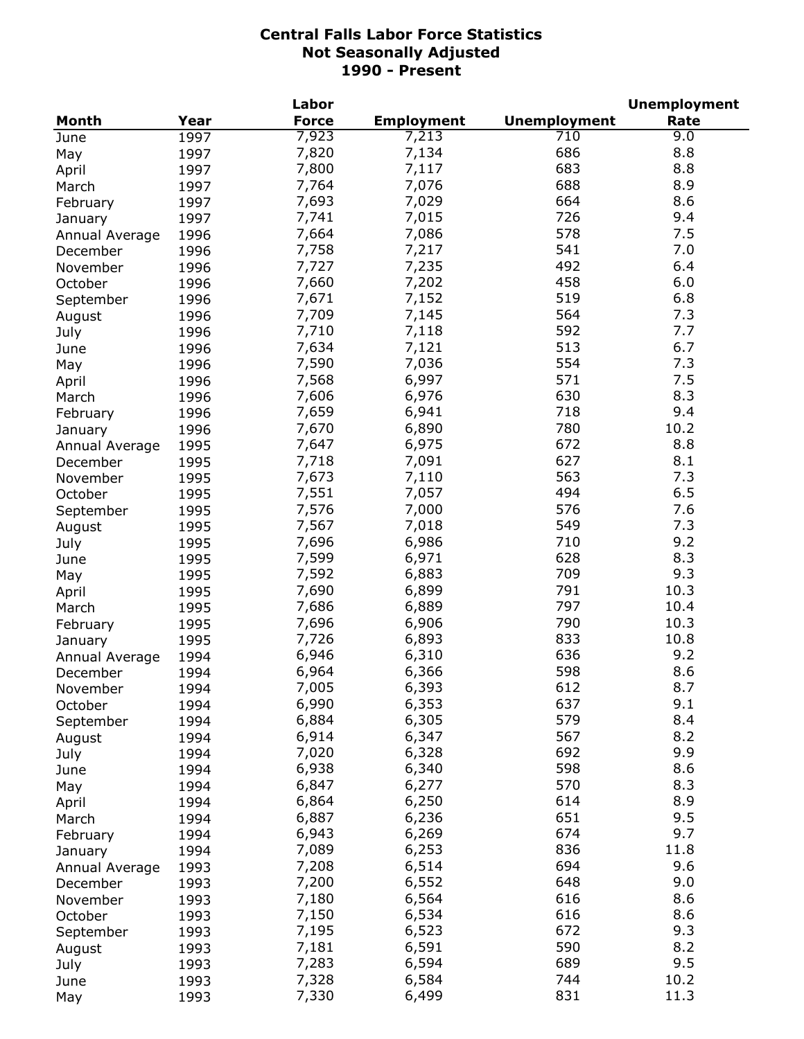|                |      | Labor        |                   |                     | <b>Unemployment</b> |
|----------------|------|--------------|-------------------|---------------------|---------------------|
| <b>Month</b>   | Year | <b>Force</b> | <b>Employment</b> | <b>Unemployment</b> | Rate                |
| June           | 1997 | 7,923        | 7,213             | 710                 | 9.0                 |
| May            | 1997 | 7,820        | 7,134             | 686                 | 8.8                 |
| April          | 1997 | 7,800        | 7,117             | 683                 | 8.8                 |
| March          | 1997 | 7,764        | 7,076             | 688                 | 8.9                 |
| February       | 1997 | 7,693        | 7,029             | 664                 | 8.6                 |
| January        | 1997 | 7,741        | 7,015             | 726                 | 9.4                 |
| Annual Average | 1996 | 7,664        | 7,086             | 578                 | 7.5                 |
| December       | 1996 | 7,758        | 7,217             | 541                 | 7.0                 |
| November       | 1996 | 7,727        | 7,235             | 492                 | 6.4                 |
| October        | 1996 | 7,660        | 7,202             | 458                 | 6.0                 |
|                | 1996 | 7,671        | 7,152             | 519                 | 6.8                 |
| September      |      | 7,709        | 7,145             | 564                 | 7.3                 |
| August         | 1996 |              |                   | 592                 | 7.7                 |
| July           | 1996 | 7,710        | 7,118             |                     |                     |
| June           | 1996 | 7,634        | 7,121             | 513                 | 6.7                 |
| May            | 1996 | 7,590        | 7,036             | 554                 | 7.3                 |
| April          | 1996 | 7,568        | 6,997             | 571                 | 7.5                 |
| March          | 1996 | 7,606        | 6,976             | 630                 | 8.3                 |
| February       | 1996 | 7,659        | 6,941             | 718                 | 9.4                 |
| January        | 1996 | 7,670        | 6,890             | 780                 | 10.2                |
| Annual Average | 1995 | 7,647        | 6,975             | 672                 | 8.8                 |
| December       | 1995 | 7,718        | 7,091             | 627                 | 8.1                 |
| November       | 1995 | 7,673        | 7,110             | 563                 | 7.3                 |
| October        | 1995 | 7,551        | 7,057             | 494                 | 6.5                 |
| September      | 1995 | 7,576        | 7,000             | 576                 | 7.6                 |
| August         | 1995 | 7,567        | 7,018             | 549                 | 7.3                 |
| July           | 1995 | 7,696        | 6,986             | 710                 | 9.2                 |
| June           | 1995 | 7,599        | 6,971             | 628                 | 8.3                 |
| May            | 1995 | 7,592        | 6,883             | 709                 | 9.3                 |
| April          | 1995 | 7,690        | 6,899             | 791                 | 10.3                |
| March          | 1995 | 7,686        | 6,889             | 797                 | 10.4                |
| February       | 1995 | 7,696        | 6,906             | 790                 | 10.3                |
| January        | 1995 | 7,726        | 6,893             | 833                 | 10.8                |
| Annual Average | 1994 | 6,946        | 6,310             | 636                 | 9.2                 |
| December       | 1994 | 6,964        | 6,366             | 598                 | 8.6                 |
| November       | 1994 | 7,005        | 6,393             | 612                 | 8.7                 |
| October        | 1994 | 6,990        | 6,353             | 637                 | 9.1                 |
| September      | 1994 | 6,884        | 6,305             | 579                 | 8.4                 |
|                | 1994 | 6,914        | 6,347             | 567                 | 8.2                 |
| August         |      | 7,020        | 6,328             | 692                 | 9.9                 |
| July           | 1994 | 6,938        | 6,340             | 598                 | 8.6                 |
| June           | 1994 | 6,847        |                   | 570                 | 8.3                 |
| May            | 1994 |              | 6,277             |                     | 8.9                 |
| April          | 1994 | 6,864        | 6,250             | 614                 |                     |
| March          | 1994 | 6,887        | 6,236             | 651                 | 9.5                 |
| February       | 1994 | 6,943        | 6,269             | 674                 | 9.7                 |
| January        | 1994 | 7,089        | 6,253             | 836                 | 11.8                |
| Annual Average | 1993 | 7,208        | 6,514             | 694                 | 9.6                 |
| December       | 1993 | 7,200        | 6,552             | 648                 | 9.0                 |
| November       | 1993 | 7,180        | 6,564             | 616                 | 8.6                 |
| October        | 1993 | 7,150        | 6,534             | 616                 | 8.6                 |
| September      | 1993 | 7,195        | 6,523             | 672                 | 9.3                 |
| August         | 1993 | 7,181        | 6,591             | 590                 | 8.2                 |
| July           | 1993 | 7,283        | 6,594             | 689                 | 9.5                 |
| June           | 1993 | 7,328        | 6,584             | 744                 | 10.2                |
| May            | 1993 | 7,330        | 6,499             | 831                 | 11.3                |